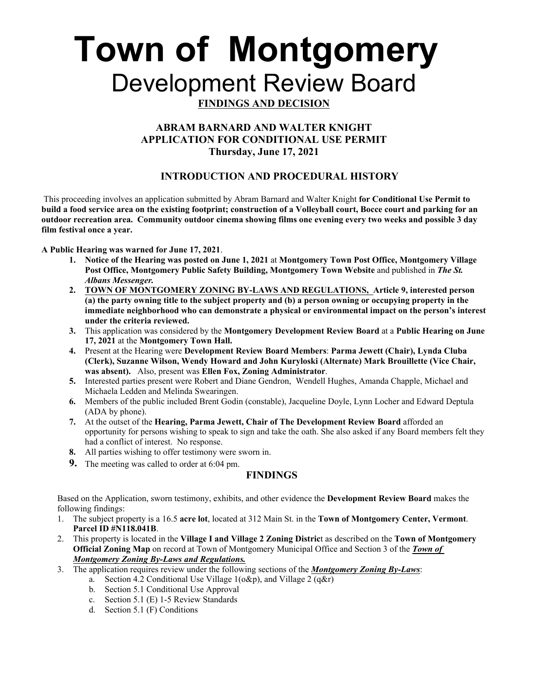# **Town of Montgomery** Development Review Board

# **FINDINGS AND DECISION**

## **ABRAM BARNARD AND WALTER KNIGHT APPLICATION FOR CONDITIONAL USE PERMIT Thursday, June 17, 2021**

## **INTRODUCTION AND PROCEDURAL HISTORY**

 This proceeding involves an application submitted by Abram Barnard and Walter Knight **for Conditional Use Permit to build a food service area on the existing footprint; construction of a Volleyball court, Bocce court and parking for an outdoor recreation area. Community outdoor cinema showing films one evening every two weeks and possible 3 day film festival once a year.**

**A Public Hearing was warned for June 17, 2021**.

- **1. Notice of the Hearing was posted on June 1, 2021** at **Montgomery Town Post Office, Montgomery Village Post Office, Montgomery Public Safety Building, Montgomery Town Website** and published in *The St. Albans Messenger.*
- **2. TOWN OF MONTGOMERY ZONING BY-LAWS AND REGULATIONS, Article 9, interested person (a) the party owning title to the subject property and (b) a person owning or occupying property in the immediate neighborhood who can demonstrate a physical or environmental impact on the person's interest under the criteria reviewed.**
- **3.** This application was considered by the **Montgomery Development Review Board** at a **Public Hearing on June 17, 2021** at the **Montgomery Town Hall.**
- **4.** Present at the Hearing were **Development Review Board Members**: **Parma Jewett (Chair), Lynda Cluba (Clerk), Suzanne Wilson, Wendy Howard and John Kuryloski (Alternate) Mark Brouillette (Vice Chair, was absent).** Also, present was **Ellen Fox, Zoning Administrator**.
- **5.** Interested parties present were Robert and Diane Gendron, Wendell Hughes, Amanda Chapple, Michael and Michaela Ledden and Melinda Swearingen.
- **6.** Members of the public included Brent Godin (constable), Jacqueline Doyle, Lynn Locher and Edward Deptula (ADA by phone).
- **7.** At the outset of the **Hearing, Parma Jewett, Chair of The Development Review Board** afforded an opportunity for persons wishing to speak to sign and take the oath. She also asked if any Board members felt they had a conflict of interest. No response.
- **8.** All parties wishing to offer testimony were sworn in.
- **9.** The meeting was called to order at 6:04 pm.

## **FINDINGS**

Based on the Application, sworn testimony, exhibits, and other evidence the **Development Review Board** makes the following findings:

- 1. The subject property is a 16.5 **acre lot**, located at 312 Main St. in the **Town of Montgomery Center, Vermont**. **Parcel ID #N118.041B**.
- 2. This property is located in the **Village I and Village 2 Zoning Distric**t as described on the **Town of Montgomery Official Zoning Map** on record at Town of Montgomery Municipal Office and Section 3 of the *Town of Montgomery Zoning By-Laws and Regulations.*
- 3. The application requires review under the following sections of the *Montgomery Zoning By-Laws*:
	- a. Section 4.2 Conditional Use Village  $1(0\&p)$ , and Village  $2(q\&p)$
	- b. Section 5.1 Conditional Use Approval
	- c. Section 5.1 (E) 1-5 Review Standards
	- d. Section 5.1 (F) Conditions